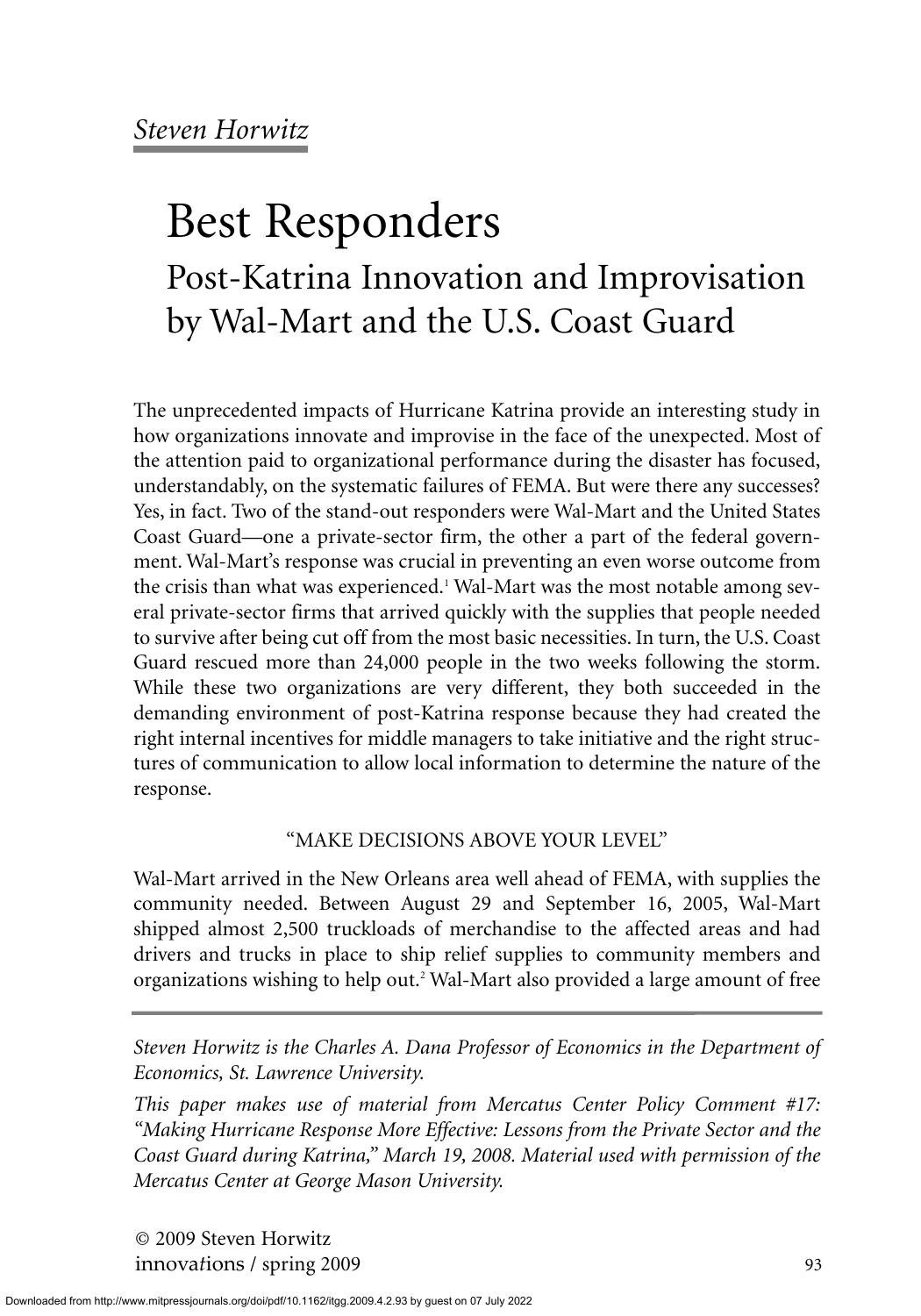# Best Responders Post-Katrina Innovation and Improvisation by Wal-Mart and the U.S. Coast Guard

The unprecedented impacts of Hurricane Katrina provide an interesting study in how organizations innovate and improvise in the face of the unexpected. Most of the attention paid to organizational performance during the disaster has focused, understandably, on the systematic failures of FEMA. But were there any successes? Yes, in fact. Two of the stand-out responders were Wal-Mart and the United States Coast Guard—one a private-sector firm, the other a part of the federal government. Wal-Mart's response was crucial in preventing an even worse outcome from the crisis than what was experienced.<sup>1</sup> Wal-Mart was the most notable among several private-sector firms that arrived quickly with the supplies that people needed to survive after being cut off from the most basic necessities. In turn, the U.S. Coast Guard rescued more than 24,000 people in the two weeks following the storm. While these two organizations are very different, they both succeeded in the demanding environment of post-Katrina response because they had created the right internal incentives for middle managers to take initiative and the right structures of communication to allow local information to determine the nature of the response.

## "MAKE DECISIONS ABOVE YOUR LEVEL"

Wal-Mart arrived in the New Orleans area well ahead of FEMA, with supplies the community needed. Between August 29 and September 16, 2005, Wal-Mart shipped almost 2,500 truckloads of merchandise to the affected areas and had drivers and trucks in place to ship relief supplies to community members and organizations wishing to help out.2 Wal-Mart also provided a large amount of free

*Steven Horwitz is the Charles A. Dana Professor of Economics in the Department of Economics, St. Lawrence University.*

*This paper makes use of material from Mercatus Center Policy Comment #17: "Making Hurricane Response More Effective: Lessons from the Private Sector and the Coast Guard during Katrina," March 19, 2008. Material used with permission of the Mercatus Center at George Mason University.*

© 2009 Steven Horwitz innovations / spring 2009 **93**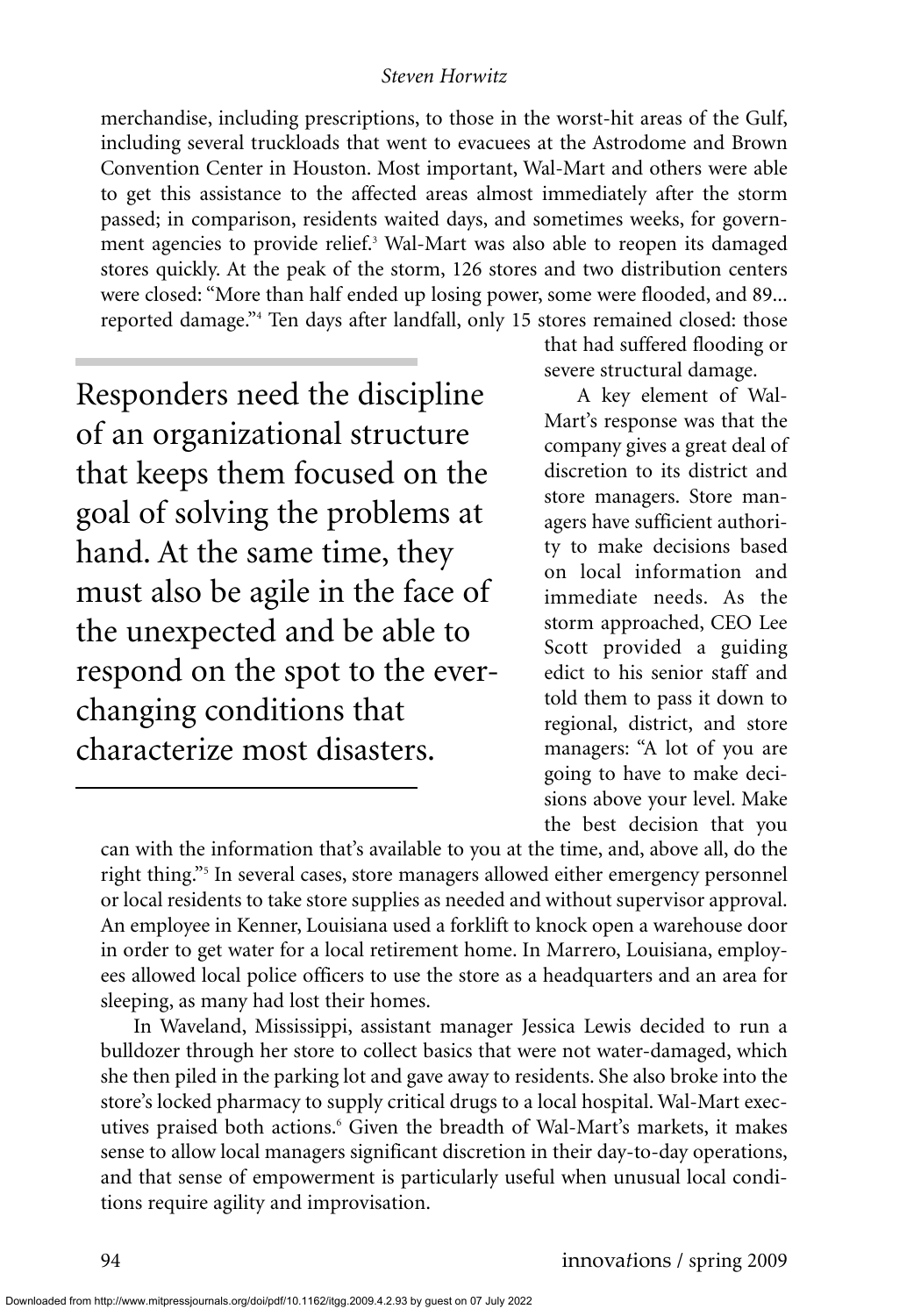merchandise, including prescriptions, to those in the worst-hit areas of the Gulf, including several truckloads that went to evacuees at the Astrodome and Brown Convention Center in Houston. Most important, Wal-Mart and others were able to get this assistance to the affected areas almost immediately after the storm passed; in comparison, residents waited days, and sometimes weeks, for government agencies to provide relief.3 Wal-Mart was also able to reopen its damaged stores quickly. At the peak of the storm, 126 stores and two distribution centers were closed: "More than half ended up losing power, some were flooded, and 89... reported damage."4 Ten days after landfall, only 15 stores remained closed: those

Responders need the discipline of an organizational structure that keeps them focused on the goal of solving the problems at hand. At the same time, they must also be agile in the face of the unexpected and be able to respond on the spot to the everchanging conditions that characterize most disasters.

that had suffered flooding or severe structural damage.

A key element of Wal-Mart's response was that the company gives a great deal of discretion to its district and store managers. Store managers have sufficient authority to make decisions based on local information and immediate needs. As the storm approached, CEO Lee Scott provided a guiding edict to his senior staff and told them to pass it down to regional, district, and store managers: "A lot of you are going to have to make decisions above your level. Make the best decision that you

can with the information that's available to you at the time, and, above all, do the right thing."5 In several cases, store managers allowed either emergency personnel or local residents to take store supplies as needed and without supervisor approval. An employee in Kenner, Louisiana used a forklift to knock open a warehouse door in order to get water for a local retirement home. In Marrero, Louisiana, employees allowed local police officers to use the store as a headquarters and an area for sleeping, as many had lost their homes.

In Waveland, Mississippi, assistant manager Jessica Lewis decided to run a bulldozer through her store to collect basics that were not water-damaged, which she then piled in the parking lot and gave away to residents. She also broke into the store's locked pharmacy to supply critical drugs to a local hospital. Wal-Mart executives praised both actions.6 Given the breadth of Wal-Mart's markets, it makes sense to allow local managers significant discretion in their day-to-day operations, and that sense of empowerment is particularly useful when unusual local conditions require agility and improvisation.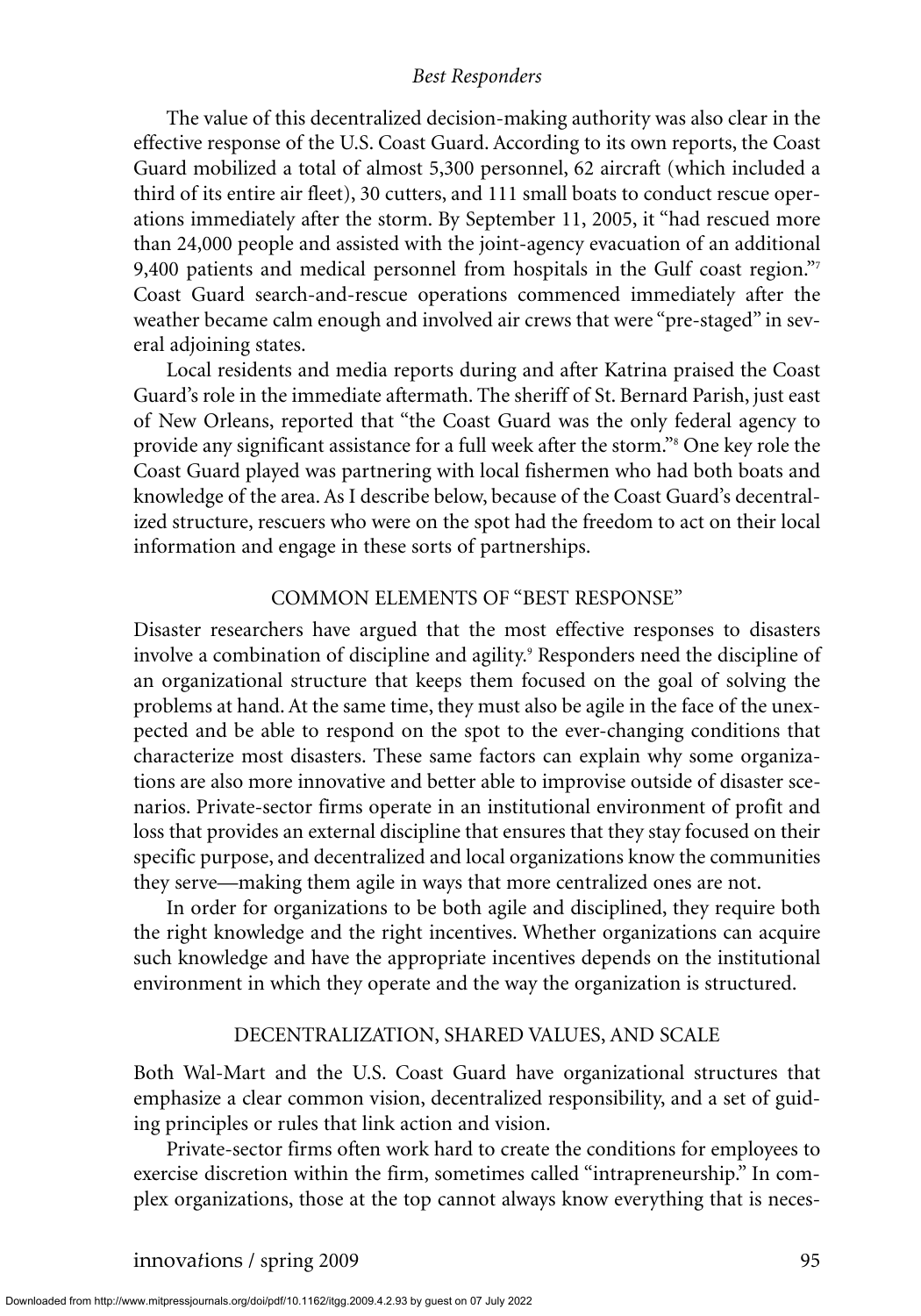### *Best Responders*

The value of this decentralized decision-making authority was also clear in the effective response of the U.S. Coast Guard. According to its own reports, the Coast Guard mobilized a total of almost 5,300 personnel, 62 aircraft (which included a third of its entire air fleet), 30 cutters, and 111 small boats to conduct rescue operations immediately after the storm. By September 11, 2005, it "had rescued more than 24,000 people and assisted with the joint-agency evacuation of an additional 9,400 patients and medical personnel from hospitals in the Gulf coast region."7 Coast Guard search-and-rescue operations commenced immediately after the weather became calm enough and involved air crews that were "pre-staged" in several adjoining states.

Local residents and media reports during and after Katrina praised the Coast Guard's role in the immediate aftermath. The sheriff of St. Bernard Parish, just east of New Orleans, reported that "the Coast Guard was the only federal agency to provide any significant assistance for a full week after the storm."8 One key role the Coast Guard played was partnering with local fishermen who had both boats and knowledge of the area. As I describe below, because of the Coast Guard's decentralized structure, rescuers who were on the spot had the freedom to act on their local information and engage in these sorts of partnerships.

#### COMMON ELEMENTS OF "BEST RESPONSE"

Disaster researchers have argued that the most effective responses to disasters involve a combination of discipline and agility.<sup>9</sup> Responders need the discipline of an organizational structure that keeps them focused on the goal of solving the problems at hand. At the same time, they must also be agile in the face of the unexpected and be able to respond on the spot to the ever-changing conditions that characterize most disasters. These same factors can explain why some organizations are also more innovative and better able to improvise outside of disaster scenarios. Private-sector firms operate in an institutional environment of profit and loss that provides an external discipline that ensures that they stay focused on their specific purpose, and decentralized and local organizations know the communities they serve—making them agile in ways that more centralized ones are not.

In order for organizations to be both agile and disciplined, they require both the right knowledge and the right incentives. Whether organizations can acquire such knowledge and have the appropriate incentives depends on the institutional environment in which they operate and the way the organization is structured.

#### DECENTRALIZATION, SHARED VALUES, AND SCALE

Both Wal-Mart and the U.S. Coast Guard have organizational structures that emphasize a clear common vision, decentralized responsibility, and a set of guiding principles or rules that link action and vision.

Private-sector firms often work hard to create the conditions for employees to exercise discretion within the firm, sometimes called "intrapreneurship." In complex organizations, those at the top cannot always know everything that is neces-

innovations / spring 2009 95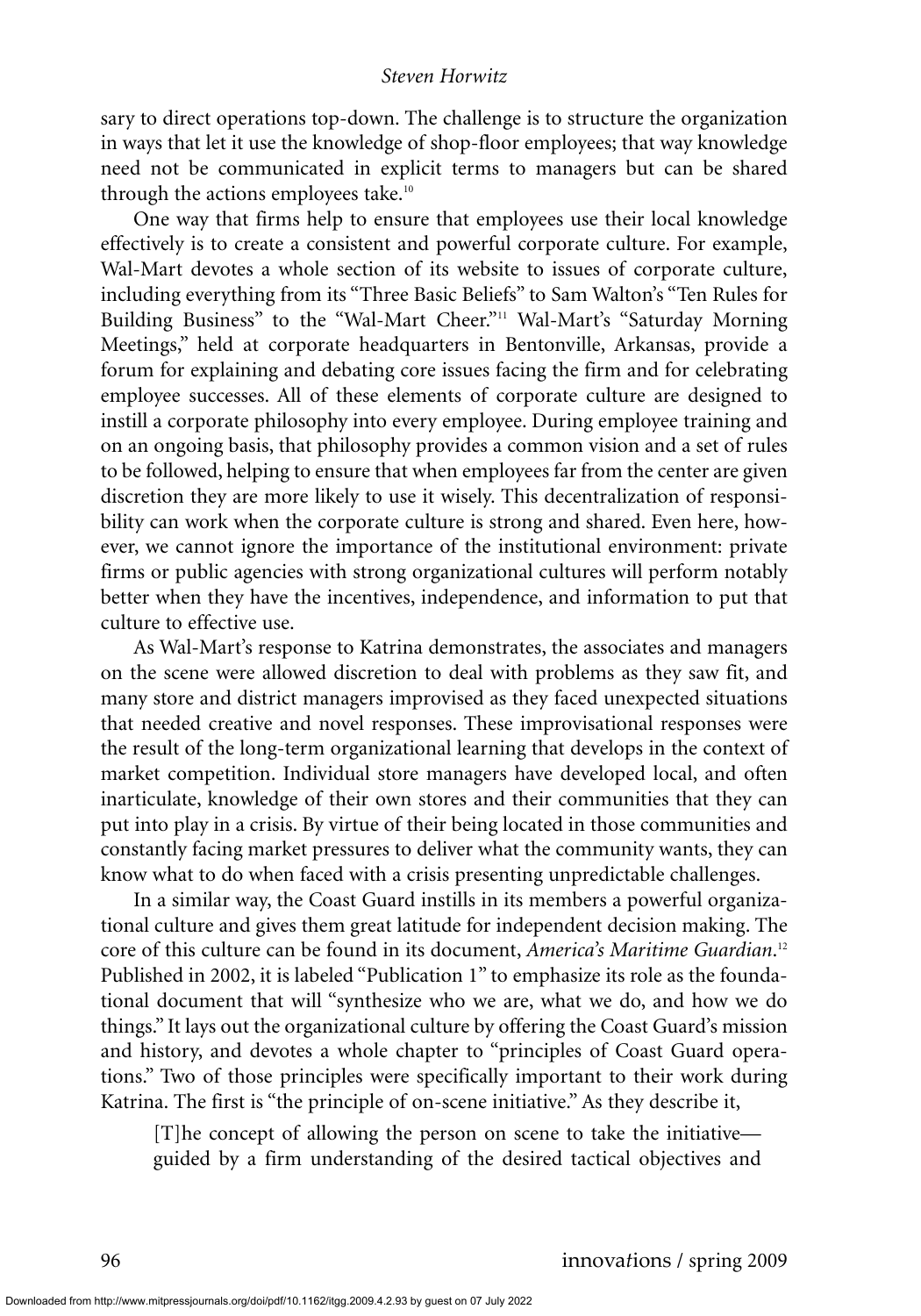sary to direct operations top-down. The challenge is to structure the organization in ways that let it use the knowledge of shop-floor employees; that way knowledge need not be communicated in explicit terms to managers but can be shared through the actions employees take.<sup>10</sup>

One way that firms help to ensure that employees use their local knowledge effectively is to create a consistent and powerful corporate culture. For example, Wal-Mart devotes a whole section of its website to issues of corporate culture, including everything from its "Three Basic Beliefs" to Sam Walton's "Ten Rules for Building Business" to the "Wal-Mart Cheer."11 Wal-Mart's "Saturday Morning Meetings," held at corporate headquarters in Bentonville, Arkansas, provide a forum for explaining and debating core issues facing the firm and for celebrating employee successes. All of these elements of corporate culture are designed to instill a corporate philosophy into every employee. During employee training and on an ongoing basis, that philosophy provides a common vision and a set of rules to be followed, helping to ensure that when employees far from the center are given discretion they are more likely to use it wisely. This decentralization of responsibility can work when the corporate culture is strong and shared. Even here, however, we cannot ignore the importance of the institutional environment: private firms or public agencies with strong organizational cultures will perform notably better when they have the incentives, independence, and information to put that culture to effective use.

As Wal-Mart's response to Katrina demonstrates, the associates and managers on the scene were allowed discretion to deal with problems as they saw fit, and many store and district managers improvised as they faced unexpected situations that needed creative and novel responses. These improvisational responses were the result of the long-term organizational learning that develops in the context of market competition. Individual store managers have developed local, and often inarticulate, knowledge of their own stores and their communities that they can put into play in a crisis. By virtue of their being located in those communities and constantly facing market pressures to deliver what the community wants, they can know what to do when faced with a crisis presenting unpredictable challenges.

In a similar way, the Coast Guard instills in its members a powerful organizational culture and gives them great latitude for independent decision making. The core of this culture can be found in its document, *America's Maritime Guardian*. 12 Published in 2002, it is labeled "Publication 1" to emphasize its role as the foundational document that will "synthesize who we are, what we do, and how we do things." It lays out the organizational culture by offering the Coast Guard's mission and history, and devotes a whole chapter to "principles of Coast Guard operations." Two of those principles were specifically important to their work during Katrina. The first is "the principle of on-scene initiative." As they describe it,

[T]he concept of allowing the person on scene to take the initiative guided by a firm understanding of the desired tactical objectives and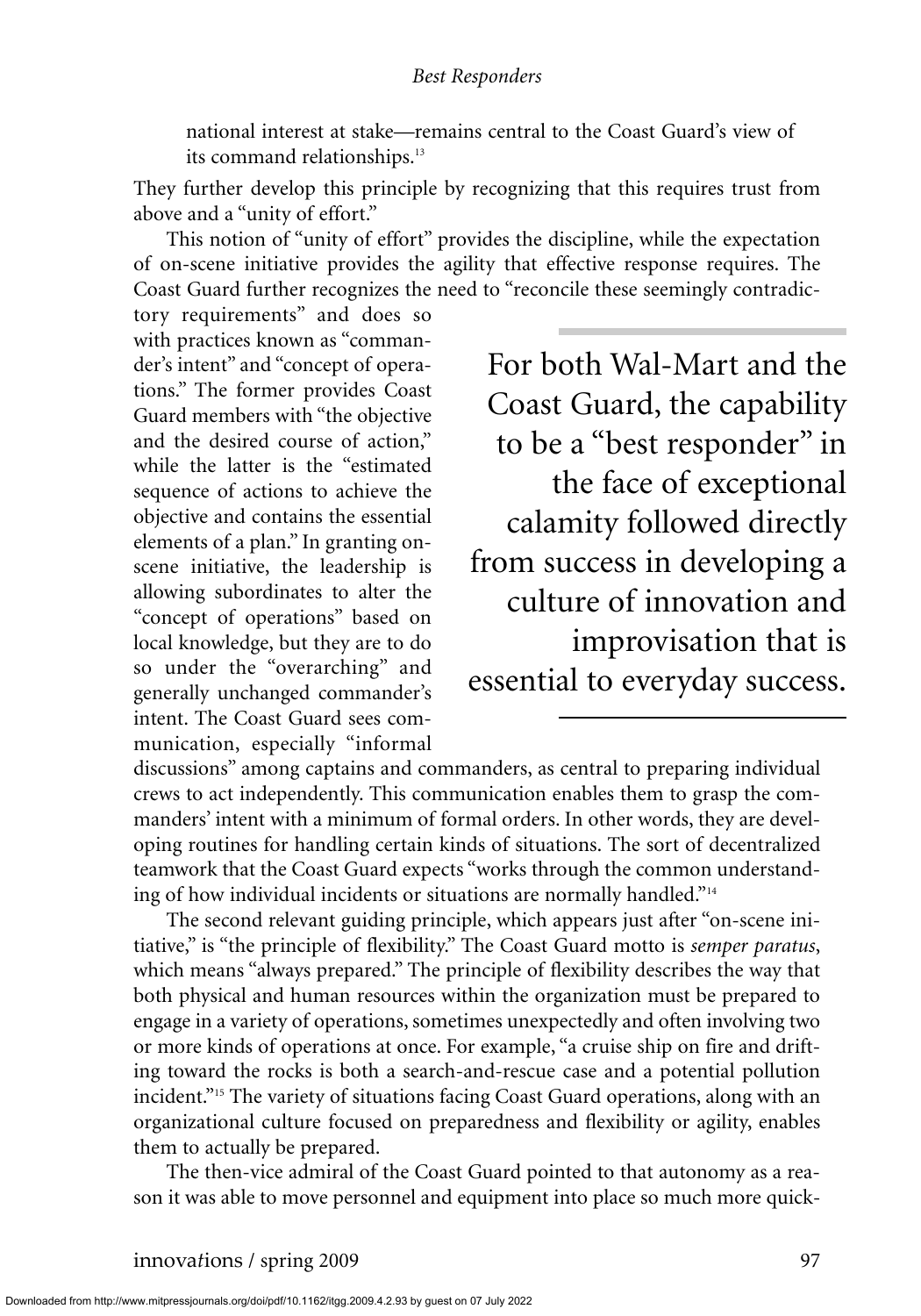national interest at stake—remains central to the Coast Guard's view of its command relationships.<sup>13</sup>

They further develop this principle by recognizing that this requires trust from above and a "unity of effort."

This notion of "unity of effort" provides the discipline, while the expectation of on-scene initiative provides the agility that effective response requires. The Coast Guard further recognizes the need to "reconcile these seemingly contradic-

tory requirements" and does so with practices known as "commander's intent" and "concept of operations." The former provides Coast Guard members with "the objective and the desired course of action," while the latter is the "estimated sequence of actions to achieve the objective and contains the essential elements of a plan." In granting onscene initiative, the leadership is allowing subordinates to alter the "concept of operations" based on local knowledge, but they are to do so under the "overarching" and generally unchanged commander's intent. The Coast Guard sees communication, especially "informal

For both Wal-Mart and the Coast Guard, the capability to be a "best responder" in the face of exceptional calamity followed directly from success in developing a culture of innovation and improvisation that is essential to everyday success.

discussions" among captains and commanders, as central to preparing individual crews to act independently. This communication enables them to grasp the commanders' intent with a minimum of formal orders. In other words, they are developing routines for handling certain kinds of situations. The sort of decentralized teamwork that the Coast Guard expects "works through the common understanding of how individual incidents or situations are normally handled."14

The second relevant guiding principle, which appears just after "on-scene initiative," is "the principle of flexibility." The Coast Guard motto is *semper paratus*, which means "always prepared." The principle of flexibility describes the way that both physical and human resources within the organization must be prepared to engage in a variety of operations, sometimes unexpectedly and often involving two or more kinds of operations at once. For example, "a cruise ship on fire and drifting toward the rocks is both a search-and-rescue case and a potential pollution incident."15 The variety of situations facing Coast Guard operations, along with an organizational culture focused on preparedness and flexibility or agility, enables them to actually be prepared.

The then-vice admiral of the Coast Guard pointed to that autonomy as a reason it was able to move personnel and equipment into place so much more quick-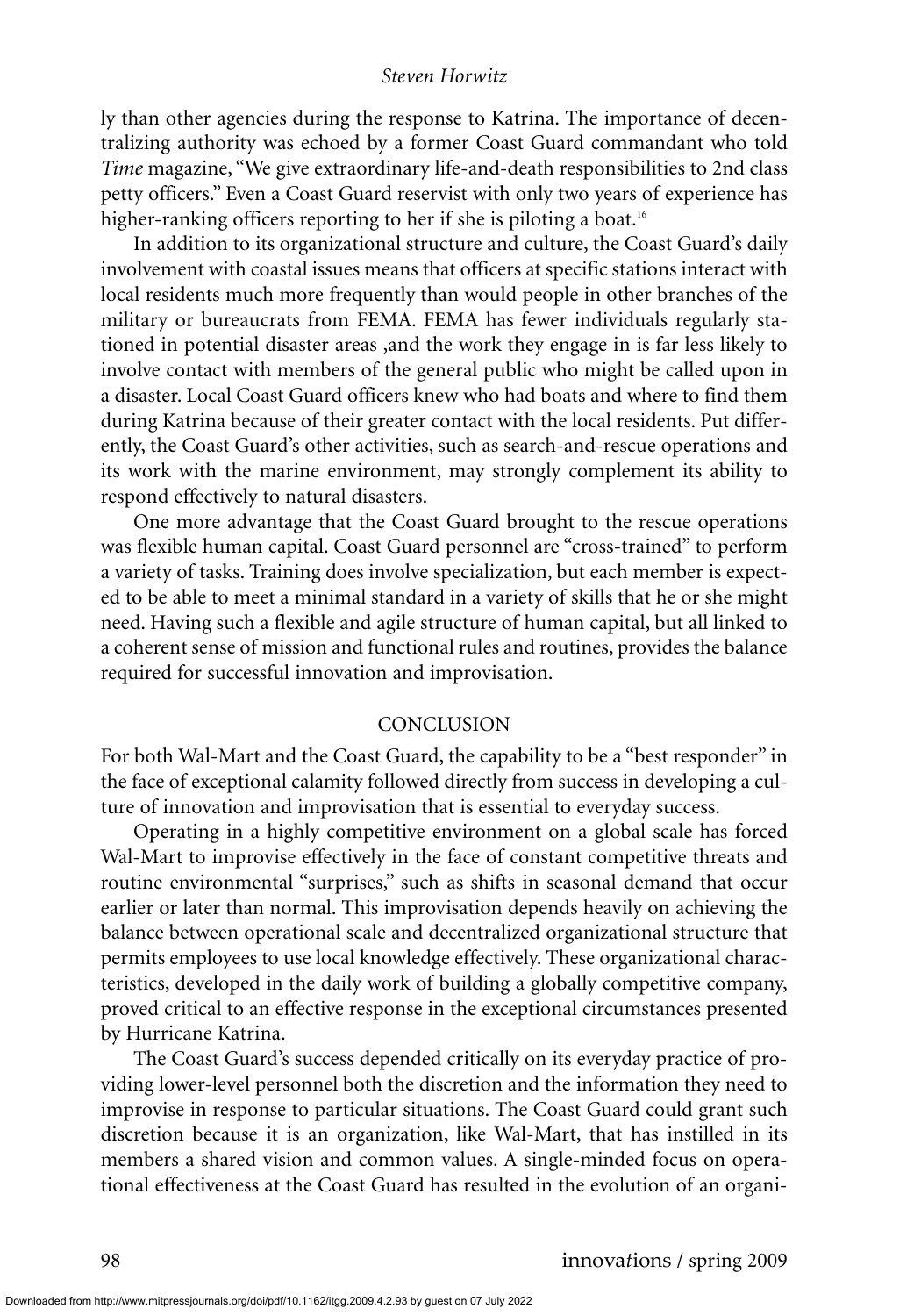#### *Steven Horwitz*

ly than other agencies during the response to Katrina. The importance of decentralizing authority was echoed by a former Coast Guard commandant who told *Time* magazine, "We give extraordinary life-and-death responsibilities to 2nd class petty officers." Even a Coast Guard reservist with only two years of experience has higher-ranking officers reporting to her if she is piloting a boat.<sup>16</sup>

In addition to its organizational structure and culture, the Coast Guard's daily involvement with coastal issues means that officers at specific stations interact with local residents much more frequently than would people in other branches of the military or bureaucrats from FEMA. FEMA has fewer individuals regularly stationed in potential disaster areas ,and the work they engage in is far less likely to involve contact with members of the general public who might be called upon in a disaster. Local Coast Guard officers knew who had boats and where to find them during Katrina because of their greater contact with the local residents. Put differently, the Coast Guard's other activities, such as search-and-rescue operations and its work with the marine environment, may strongly complement its ability to respond effectively to natural disasters.

One more advantage that the Coast Guard brought to the rescue operations was flexible human capital. Coast Guard personnel are "cross-trained" to perform a variety of tasks. Training does involve specialization, but each member is expected to be able to meet a minimal standard in a variety of skills that he or she might need. Having such a flexible and agile structure of human capital, but all linked to a coherent sense of mission and functional rules and routines, provides the balance required for successful innovation and improvisation.

### **CONCLUSION**

For both Wal-Mart and the Coast Guard, the capability to be a "best responder" in the face of exceptional calamity followed directly from success in developing a culture of innovation and improvisation that is essential to everyday success.

Operating in a highly competitive environment on a global scale has forced Wal-Mart to improvise effectively in the face of constant competitive threats and routine environmental "surprises," such as shifts in seasonal demand that occur earlier or later than normal. This improvisation depends heavily on achieving the balance between operational scale and decentralized organizational structure that permits employees to use local knowledge effectively. These organizational characteristics, developed in the daily work of building a globally competitive company, proved critical to an effective response in the exceptional circumstances presented by Hurricane Katrina.

The Coast Guard's success depended critically on its everyday practice of providing lower-level personnel both the discretion and the information they need to improvise in response to particular situations. The Coast Guard could grant such discretion because it is an organization, like Wal-Mart, that has instilled in its members a shared vision and common values. A single-minded focus on operational effectiveness at the Coast Guard has resulted in the evolution of an organi-